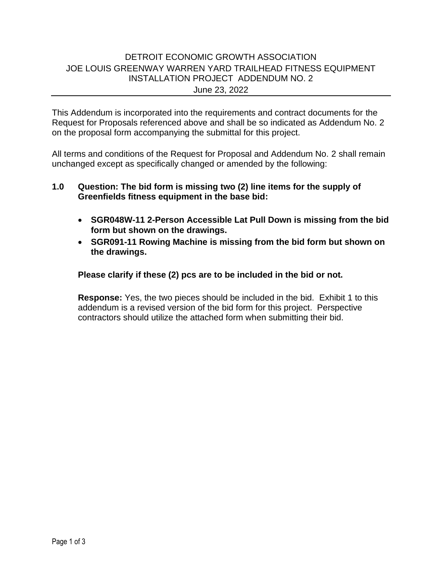## DETROIT ECONOMIC GROWTH ASSOCIATION JOE LOUIS GREENWAY WARREN YARD TRAILHEAD FITNESS EQUIPMENT INSTALLATION PROJECT ADDENDUM NO. 2 June 23, 2022

This Addendum is incorporated into the requirements and contract documents for the Request for Proposals referenced above and shall be so indicated as Addendum No. 2 on the proposal form accompanying the submittal for this project.

All terms and conditions of the Request for Proposal and Addendum No. 2 shall remain unchanged except as specifically changed or amended by the following:

## **1.0 Question: The bid form is missing two (2) line items for the supply of Greenfields fitness equipment in the base bid:**

- **SGR048W-11 2-Person Accessible Lat Pull Down is missing from the bid form but shown on the drawings.**
- **SGR091-11 Rowing Machine is missing from the bid form but shown on the drawings.**

### **Please clarify if these (2) pcs are to be included in the bid or not.**

**Response:** Yes, the two pieces should be included in the bid. Exhibit 1 to this addendum is a revised version of the bid form for this project. Perspective contractors should utilize the attached form when submitting their bid.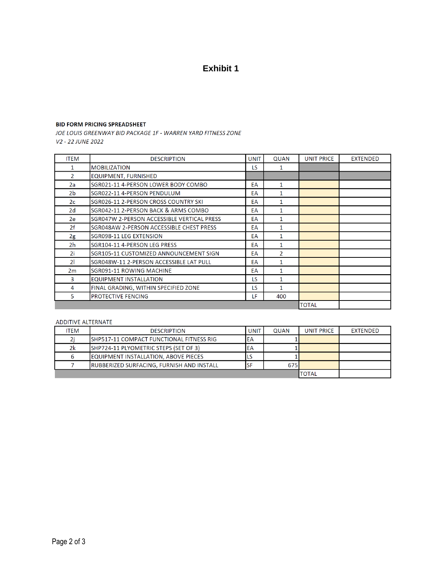# **Exhibit 1**

### **BID FORM PRICING SPREADSHEET**

JOE LOUIS GREENWAY BID PACKAGE 1F - WARREN YARD FITNESS ZONE V2 - 22 JUNE 2022

| <b>ITEM</b>    | <b>DESCRIPTION</b>                         | <b>UNIT</b> | <b>QUAN</b>   | <b>UNIT PRICE</b> | <b>EXTENDED</b> |
|----------------|--------------------------------------------|-------------|---------------|-------------------|-----------------|
|                | <b>MOBILIZATION</b>                        | LS.         | 1             |                   |                 |
| $\mathcal{P}$  | <b>EQUIPMENT, FURNISHED</b>                |             |               |                   |                 |
| 2a             | SGR021-11 4-PERSON LOWER BODY COMBO        | EA          | 1             |                   |                 |
| 2b.            | SGR022-11 4-PERSON PENDULUM                | EA          | 1             |                   |                 |
| 2c             | SGR026-11 2-PERSON CROSS COUNTRY SKI       | EA          | 1             |                   |                 |
| 2d             | SGR042-11 2-PERSON BACK & ARMS COMBO       | EA          | $\mathbf{1}$  |                   |                 |
| 2e             | SGR047W 2-PERSON ACCESSIBLE VERTICAL PRESS | EA          | 1             |                   |                 |
| 2f             | SGR048AW 2-PERSON ACCESSIBLE CHEST PRESS   | EA          | 1             |                   |                 |
| 2g             | SGR098-11 LEG EXTENSION                    | EA          | 1             |                   |                 |
| 2h             | SGR104-11 4-PERSON LEG PRESS               | EA          | 1             |                   |                 |
| 2i.            | SGR105-11 CUSTOMIZED ANNOUNCEMENT SIGN     | EA          | $\mathcal{P}$ |                   |                 |
| $\overline{2}$ | SGR048W-11 2-PERSON ACCESSIBLE LAT PULL    | EA          | 1             |                   |                 |
| 2m             | SGR091-11 ROWING MACHINE                   | EA          | 1             |                   |                 |
| 3              | <b>EQUIPMENT INSTALLATION</b>              | LS          | 1             |                   |                 |
| 4              | FINAL GRADING, WITHIN SPECIFIED ZONE       | LS          | 1             |                   |                 |
| 5              | <b>PROTECTIVE FENCING</b>                  | LF          | 400           |                   |                 |
|                |                                            |             |               | <b>TOTAL</b>      |                 |

### ADDITIVE ALTERNATE

| <b>ITEM</b> | <b>DESCRIPTION</b>                                | UNIT | <b>OUAN</b> | <b>UNIT PRICE</b> | EXTENDED |
|-------------|---------------------------------------------------|------|-------------|-------------------|----------|
|             | ISHP517-11 COMPACT FUNCTIONAL FITNESS RIG         | ΙEΑ  |             |                   |          |
| 2k          | SHP724-11 PLYOMETRIC STEPS (SET OF 3)             | ΙEΑ  |             |                   |          |
|             | <b>IEQUIPMENT INSTALLATION, ABOVE PIECES</b>      | כ ו  |             |                   |          |
|             | <b>IRUBBERIZED SURFACING, FURNISH AND INSTALL</b> | SF   | 675         |                   |          |
|             |                                                   |      |             |                   |          |